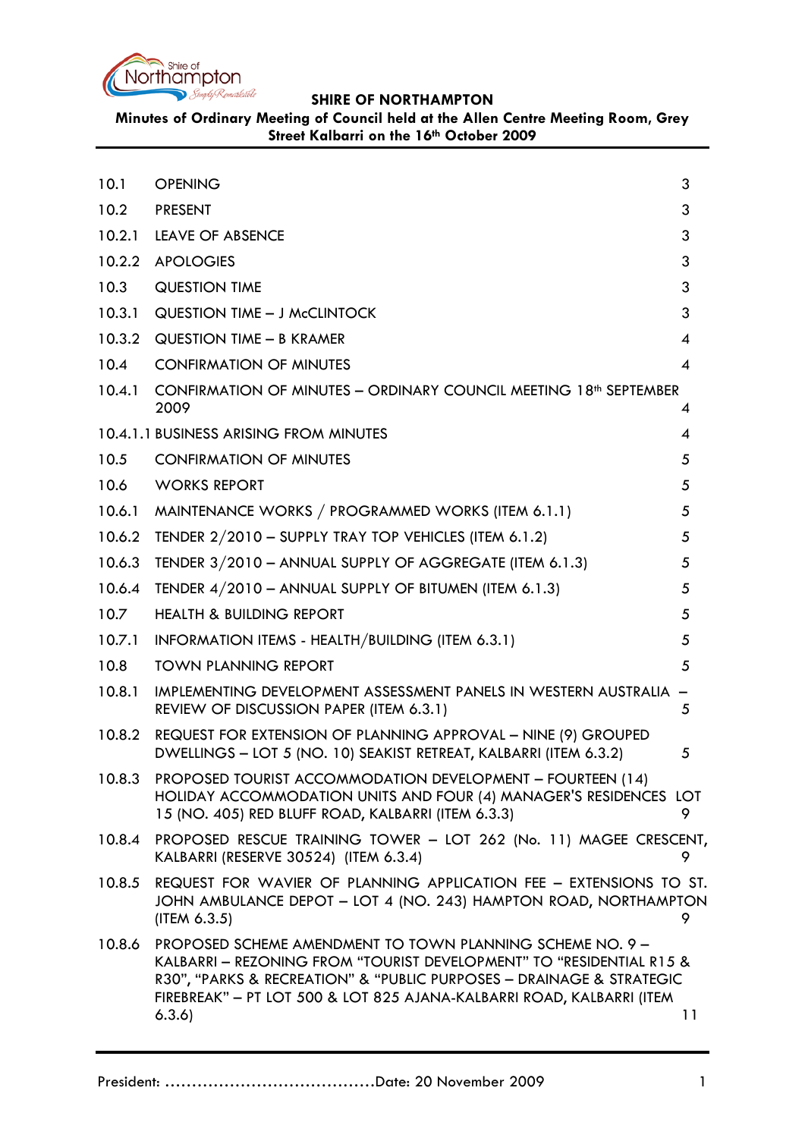

**Minutes of Ordinary Meeting of Council held at the Allen Centre Meeting Room, Grey Street Kalbarri on the 16th October 2009**

<span id="page-0-0"></span>

| 10.1   | <b>OPENING</b>                                                                                                                                                                                                                                                                     | 3  |
|--------|------------------------------------------------------------------------------------------------------------------------------------------------------------------------------------------------------------------------------------------------------------------------------------|----|
| 10.2   | <b>PRESENT</b>                                                                                                                                                                                                                                                                     | 3  |
| 10.2.1 | <b>LEAVE OF ABSENCE</b>                                                                                                                                                                                                                                                            | 3  |
| 10.2.2 | <b>APOLOGIES</b>                                                                                                                                                                                                                                                                   | 3  |
| 10.3   | <b>QUESTION TIME</b>                                                                                                                                                                                                                                                               | 3  |
| 10.3.1 | <b>QUESTION TIME - J McCLINTOCK</b>                                                                                                                                                                                                                                                | 3  |
| 10.3.2 | QUESTION TIME - B KRAMER                                                                                                                                                                                                                                                           | 4  |
| 10.4   | <b>CONFIRMATION OF MINUTES</b>                                                                                                                                                                                                                                                     | 4  |
| 10.4.1 | CONFIRMATION OF MINUTES - ORDINARY COUNCIL MEETING 18 <sup>th</sup> SEPTEMBER<br>2009                                                                                                                                                                                              | 4  |
|        | 10.4.1.1 BUSINESS ARISING FROM MINUTES                                                                                                                                                                                                                                             | 4  |
| 10.5   | <b>CONFIRMATION OF MINUTES</b>                                                                                                                                                                                                                                                     | 5  |
| 10.6   | <b>WORKS REPORT</b>                                                                                                                                                                                                                                                                | 5  |
| 10.6.1 | MAINTENANCE WORKS / PROGRAMMED WORKS (ITEM 6.1.1)                                                                                                                                                                                                                                  | 5  |
| 10.6.2 | TENDER 2/2010 - SUPPLY TRAY TOP VEHICLES (ITEM 6.1.2)                                                                                                                                                                                                                              | 5  |
| 10.6.3 | TENDER 3/2010 - ANNUAL SUPPLY OF AGGREGATE (ITEM 6.1.3)                                                                                                                                                                                                                            | 5  |
| 10.6.4 | TENDER 4/2010 - ANNUAL SUPPLY OF BITUMEN (ITEM 6.1.3)                                                                                                                                                                                                                              | 5  |
| 10.7   | <b>HEALTH &amp; BUILDING REPORT</b>                                                                                                                                                                                                                                                | 5  |
| 10.7.1 | INFORMATION ITEMS - HEALTH/BUILDING (ITEM 6.3.1)                                                                                                                                                                                                                                   | 5  |
| 10.8   | <b>TOWN PLANNING REPORT</b>                                                                                                                                                                                                                                                        | 5  |
| 10.8.1 | IMPLEMENTING DEVELOPMENT ASSESSMENT PANELS IN WESTERN AUSTRALIA<br>REVIEW OF DISCUSSION PAPER (ITEM 6.3.1)                                                                                                                                                                         | 5  |
| 10.8.2 | REQUEST FOR EXTENSION OF PLANNING APPROVAL - NINE (9) GROUPED<br>DWELLINGS - LOT 5 (NO. 10) SEAKIST RETREAT, KALBARRI (ITEM 6.3.2)                                                                                                                                                 | 5  |
| 10.8.3 | PROPOSED TOURIST ACCOMMODATION DEVELOPMENT - FOURTEEN (14)<br>HOLIDAY ACCOMMODATION UNITS AND FOUR (4) MANAGER'S RESIDENCES LOT<br>15 (NO. 405) RED BLUFF ROAD, KALBARRI (ITEM 6.3.3)                                                                                              | 9  |
| 10.8.4 | PROPOSED RESCUE TRAINING TOWER - LOT 262 (No. 11) MAGEE CRESCENT,<br>KALBARRI (RESERVE 30524) (ITEM 6.3.4)                                                                                                                                                                         | 9  |
| 10.8.5 | REQUEST FOR WAVIER OF PLANNING APPLICATION FEE - EXTENSIONS TO ST.<br>JOHN AMBULANCE DEPOT - LOT 4 (NO. 243) HAMPTON ROAD, NORTHAMPTON<br>(IFEM 6.3.5)                                                                                                                             | 9. |
| 10.8.6 | PROPOSED SCHEME AMENDMENT TO TOWN PLANNING SCHEME NO. 9 -<br>KALBARRI - REZONING FROM "TOURIST DEVELOPMENT" TO "RESIDENTIAL R15 &<br>R30", "PARKS & RECREATION" & "PUBLIC PURPOSES - DRAINAGE & STRATEGIC<br>FIREBREAK" - PT LOT 500 & LOT 825 AJANA-KALBARRI ROAD, KALBARRI (ITEM |    |
|        | 6.3.6)                                                                                                                                                                                                                                                                             | 11 |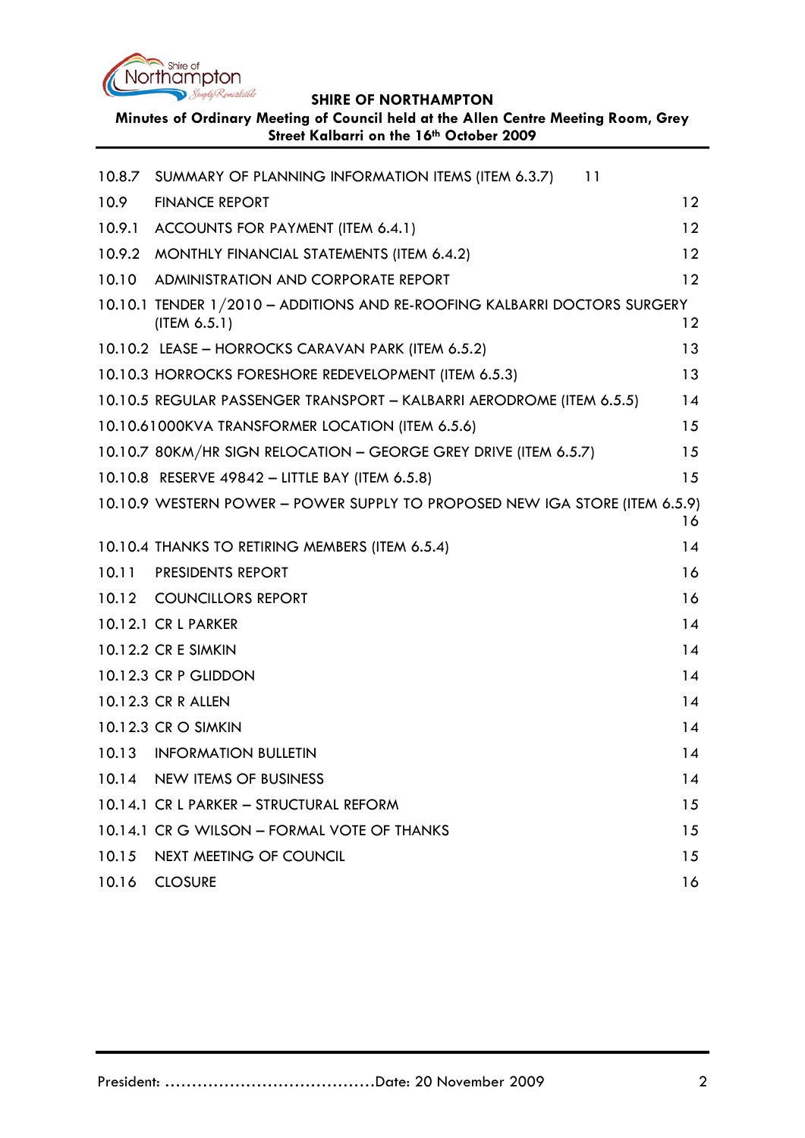

**Minutes of Ordinary Meeting of Council held at the Allen Centre Meeting Room, Grey Street Kalbarri on the 16th October 2009**

| 10.8.7 | SUMMARY OF PLANNING INFORMATION ITEMS (ITEM 6.3.7)<br>11                                  |    |
|--------|-------------------------------------------------------------------------------------------|----|
| 10.9   | <b>FINANCE REPORT</b>                                                                     | 12 |
| 10.9.1 | ACCOUNTS FOR PAYMENT (ITEM 6.4.1)                                                         | 12 |
|        | 10.9.2 MONTHLY FINANCIAL STATEMENTS (ITEM 6.4.2)                                          | 12 |
| 10.10  | <b>ADMINISTRATION AND CORPORATE REPORT</b>                                                | 12 |
|        | 10.10.1 TENDER 1/2010 - ADDITIONS AND RE-ROOFING KALBARRI DOCTORS SURGERY<br>(IFEM 6.5.1) | 12 |
|        | 10.10.2 LEASE - HORROCKS CARAVAN PARK (ITEM 6.5.2)                                        | 13 |
|        | 10.10.3 HORROCKS FORESHORE REDEVELOPMENT (ITEM 6.5.3)                                     | 13 |
|        | 10.10.5 REGULAR PASSENGER TRANSPORT - KALBARRI AERODROME (ITEM 6.5.5)                     | 14 |
|        | 10.10.61000KVA TRANSFORMER LOCATION (ITEM 6.5.6)                                          | 15 |
|        | 10.10.7 80KM/HR SIGN RELOCATION - GEORGE GREY DRIVE (ITEM 6.5.7)                          | 15 |
|        | 10.10.8 RESERVE 49842 - LITTLE BAY (ITEM 6.5.8)                                           | 15 |
|        | 10.10.9 WESTERN POWER - POWER SUPPLY TO PROPOSED NEW IGA STORE (ITEM 6.5.9)               | 16 |
|        | 10.10.4 THANKS TO RETIRING MEMBERS (ITEM 6.5.4)                                           | 14 |
| 10.11  | <b>PRESIDENTS REPORT</b>                                                                  | 16 |
|        | 10.12 COUNCILLORS REPORT                                                                  | 16 |
|        | 10.12.1 CR L PARKER                                                                       | 14 |
|        | 10.12.2 CR E SIMKIN                                                                       | 14 |
|        | 10.12.3 CR P GLIDDON                                                                      | 14 |
|        | 10.12.3 CR R ALLEN                                                                        | 14 |
|        | 10.12.3 CR O SIMKIN                                                                       | 14 |
|        | 10.13 INFORMATION BULLETIN                                                                | 14 |
| 10.14  | <b>NEW ITEMS OF BUSINESS</b>                                                              | 14 |
|        | 10.14.1 CR L PARKER - STRUCTURAL REFORM                                                   | 15 |
|        | 10.14.1 CR G WILSON - FORMAL VOTE OF THANKS                                               | 15 |
| 10.15  | NEXT MEETING OF COUNCIL                                                                   | 15 |
| 10.16  | <b>CLOSURE</b>                                                                            | 16 |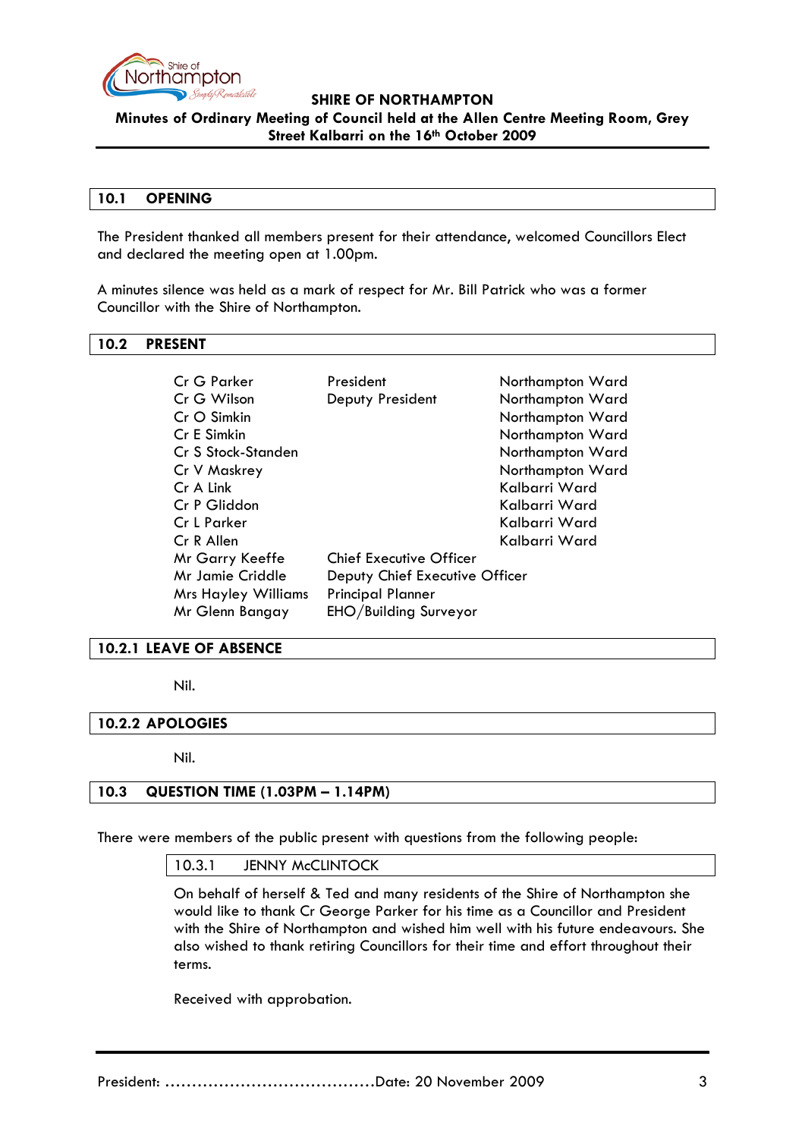

**Minutes of Ordinary Meeting of Council held at the Allen Centre Meeting Room, Grey Street Kalbarri on the 16th October 2009**

### **10.1 OPENING**

The President thanked all members present for their attendance, welcomed Councillors Elect and declared the meeting open at 1.00pm.

A minutes silence was held as a mark of respect for Mr. Bill Patrick who was a former Councillor with the Shire of Northampton.

### <span id="page-2-0"></span>**10.2 PRESENT**

| Cr G Parker                | President                      | Northampton Ward |  |
|----------------------------|--------------------------------|------------------|--|
| Cr G Wilson                | Deputy President               | Northampton Ward |  |
| Cr O Simkin                |                                | Northampton Ward |  |
| Cr E Simkin                |                                | Northampton Ward |  |
| Cr S Stock-Standen         |                                | Northampton Ward |  |
| Cr V Maskrey               |                                | Northampton Ward |  |
| Cr A Link                  |                                | Kalbarri Ward    |  |
| Cr P Gliddon               |                                | Kalbarri Ward    |  |
| Cr L Parker                |                                | Kalbarri Ward    |  |
| Cr R Allen                 |                                | Kalbarri Ward    |  |
| Mr Garry Keeffe            | <b>Chief Executive Officer</b> |                  |  |
| Mr Jamie Criddle           | Deputy Chief Executive Officer |                  |  |
| <b>Mrs Hayley Williams</b> | <b>Principal Planner</b>       |                  |  |
| Mr Glenn Bangay            | EHO/Building Surveyor          |                  |  |

### <span id="page-2-1"></span>**10.2.1 LEAVE OF ABSENCE**

Nil.

### <span id="page-2-2"></span>**10.2.2 APOLOGIES**

Nil.

### <span id="page-2-3"></span>**10.3 QUESTION TIME (1.03PM – 1.14PM)**

There were members of the public present with questions from the following people:

10.3.1 JENNY McCLINTOCK

On behalf of herself & Ted and many residents of the Shire of Northampton she would like to thank Cr George Parker for his time as a Councillor and President with the Shire of Northampton and wished him well with his future endeavours. She also wished to thank retiring Councillors for their time and effort throughout their terms.

Received with approbation.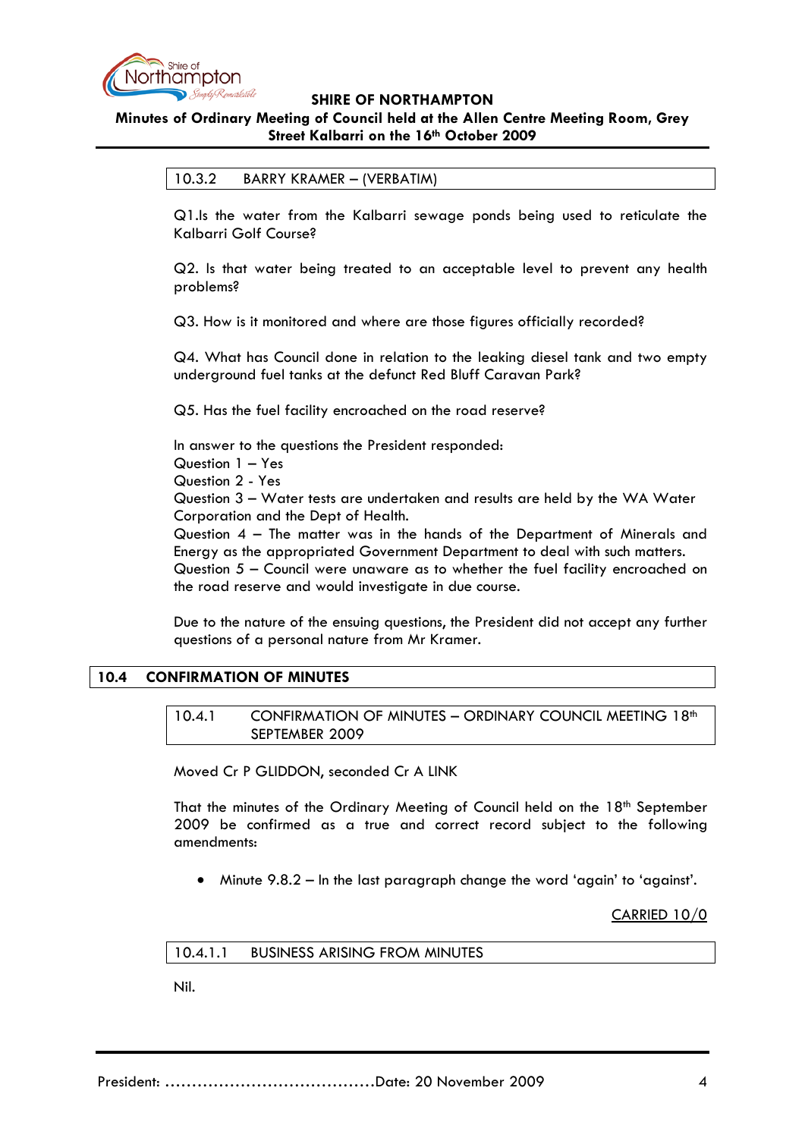

# **Minutes of Ordinary Meeting of Council held at the Allen Centre Meeting Room, Grey Street Kalbarri on the 16th October 2009**

### 10.3.2 BARRY KRAMER – (VERBATIM)

Q1.Is the water from the Kalbarri sewage ponds being used to reticulate the Kalbarri Golf Course?

Q2. Is that water being treated to an acceptable level to prevent any health problems?

Q3. How is it monitored and where are those figures officially recorded?

Q4. What has Council done in relation to the leaking diesel tank and two empty underground fuel tanks at the defunct Red Bluff Caravan Park?

Q5. Has the fuel facility encroached on the road reserve?

In answer to the questions the President responded:

Question 1 – Yes

Question 2 - Yes

Question 3 – Water tests are undertaken and results are held by the WA Water Corporation and the Dept of Health.

Question 4 – The matter was in the hands of the Department of Minerals and Energy as the appropriated Government Department to deal with such matters. Question 5 – Council were unaware as to whether the fuel facility encroached on the road reserve and would investigate in due course.

Due to the nature of the ensuing questions, the President did not accept any further questions of a personal nature from Mr Kramer.

# <span id="page-3-1"></span><span id="page-3-0"></span>**10.4 CONFIRMATION OF MINUTES**

10.4.1 CONFIRMATION OF MINUTES - ORDINARY COUNCIL MEETING 18th SEPTEMBER 2009

Moved Cr P GLIDDON, seconded Cr A LINK

That the minutes of the Ordinary Meeting of Council held on the  $18<sup>th</sup>$  September 2009 be confirmed as a true and correct record subject to the following amendments:

• Minute 9.8.2 – In the last paragraph change the word 'again' to 'against'.

CARRIED 10/0

# <span id="page-3-2"></span>10.4.1.1 BUSINESS ARISING FROM MINUTES

Nil.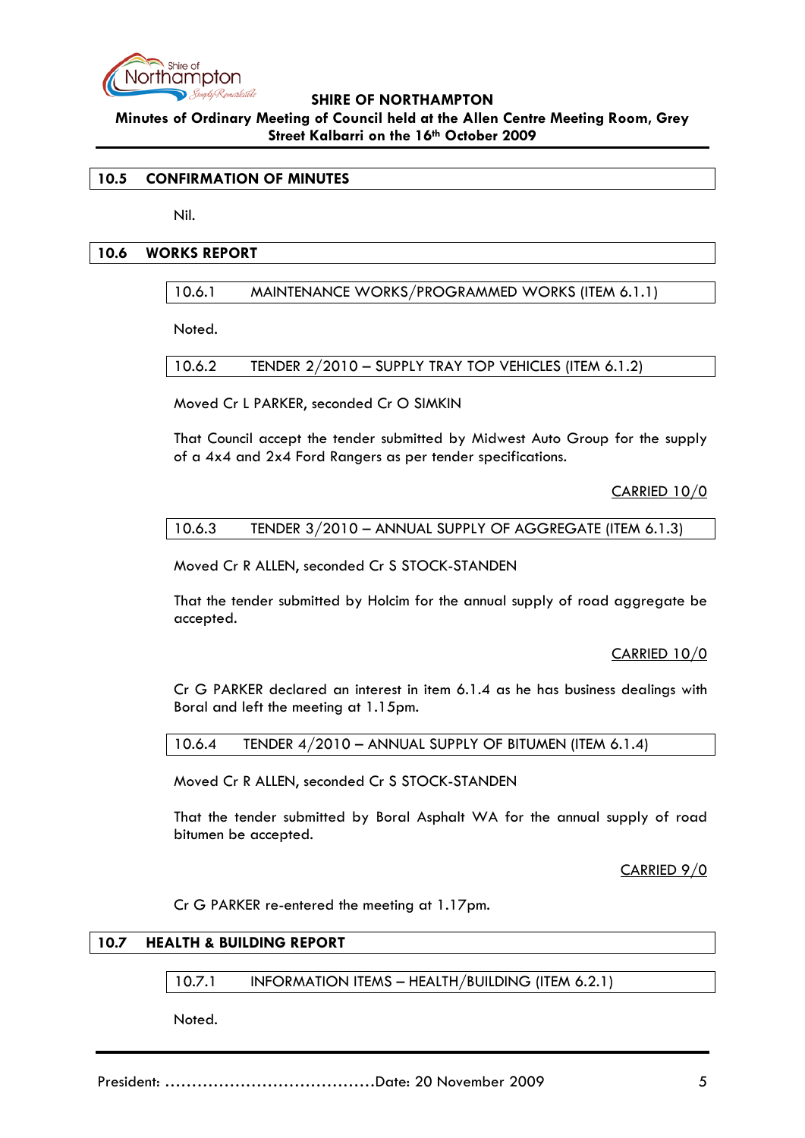

**Minutes of Ordinary Meeting of Council held at the Allen Centre Meeting Room, Grey Street Kalbarri on the 16th October 2009**

### <span id="page-4-0"></span>**10.5 CONFIRMATION OF MINUTES**

Nil.

## **10.6 WORKS REPORT**

## 10.6.1 MAINTENANCE WORKS/PROGRAMMED WORKS (ITEM 6.1.1)

Noted.

10.6.2 TENDER 2/2010 – SUPPLY TRAY TOP VEHICLES (ITEM 6.1.2)

Moved Cr L PARKER, seconded Cr O SIMKIN

That Council accept the tender submitted by Midwest Auto Group for the supply of a 4x4 and 2x4 Ford Rangers as per tender specifications.

CARRIED 10/0

### 10.6.3 TENDER 3/2010 – ANNUAL SUPPLY OF AGGREGATE (ITEM 6.1.3)

Moved Cr R ALLEN, seconded Cr S STOCK-STANDEN

That the tender submitted by Holcim for the annual supply of road aggregate be accepted.

CARRIED 10/0

Cr G PARKER declared an interest in item 6.1.4 as he has business dealings with Boral and left the meeting at 1.15pm.

10.6.4 TENDER 4/2010 – ANNUAL SUPPLY OF BITUMEN (ITEM 6.1.4)

Moved Cr R ALLEN, seconded Cr S STOCK-STANDEN

That the tender submitted by Boral Asphalt WA for the annual supply of road bitumen be accepted.

CARRIED 9/0

Cr G PARKER re-entered the meeting at 1.17pm.

# **10.7 HEALTH & BUILDING REPORT**

10.7.1 INFORMATION ITEMS – HEALTH/BUILDING (ITEM 6.2.1)

Noted.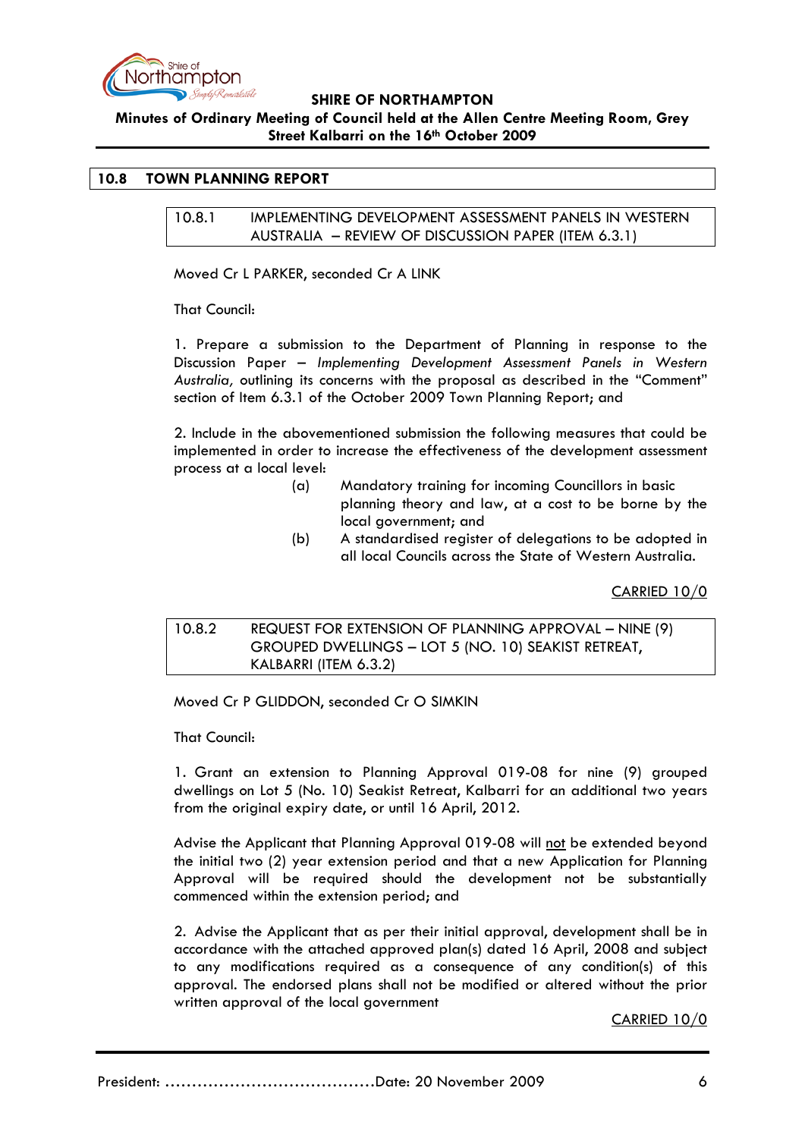

**Minutes of Ordinary Meeting of Council held at the Allen Centre Meeting Room, Grey Street Kalbarri on the 16th October 2009**

# <span id="page-5-0"></span>**10.8 TOWN PLANNING REPORT**

10.8.1 IMPLEMENTING DEVELOPMENT ASSESSMENT PANELS IN WESTERN AUSTRALIA – REVIEW OF DISCUSSION PAPER (ITEM 6.3.1)

Moved Cr L PARKER, seconded Cr A LINK

That Council:

1. Prepare a submission to the Department of Planning in response to the Discussion Paper – *Implementing Development Assessment Panels in Western Australia,* outlining its concerns with the proposal as described in the "Comment" section of Item 6.3.1 of the October 2009 Town Planning Report; and

2. Include in the abovementioned submission the following measures that could be implemented in order to increase the effectiveness of the development assessment process at a local level:

- (a) Mandatory training for incoming Councillors in basic planning theory and law, at a cost to be borne by the local government; and
- (b) A standardised register of delegations to be adopted in all local Councils across the State of Western Australia.

CARRIED 10/0

10.8.2 REQUEST FOR EXTENSION OF PLANNING APPROVAL – NINE (9) GROUPED DWELLINGS – LOT 5 (NO. 10) SEAKIST RETREAT, KALBARRI (ITEM 6.3.2)

Moved Cr P GLIDDON, seconded Cr O SIMKIN

That Council:

1. Grant an extension to Planning Approval 019-08 for nine (9) grouped dwellings on Lot 5 (No. 10) Seakist Retreat, Kalbarri for an additional two years from the original expiry date, or until 16 April, 2012.

Advise the Applicant that Planning Approval 019-08 will not be extended beyond the initial two (2) year extension period and that a new Application for Planning Approval will be required should the development not be substantially commenced within the extension period; and

2. Advise the Applicant that as per their initial approval, development shall be in accordance with the attached approved plan(s) dated 16 April, 2008 and subject to any modifications required as a consequence of any condition(s) of this approval. The endorsed plans shall not be modified or altered without the prior written approval of the local government

CARRIED 10/0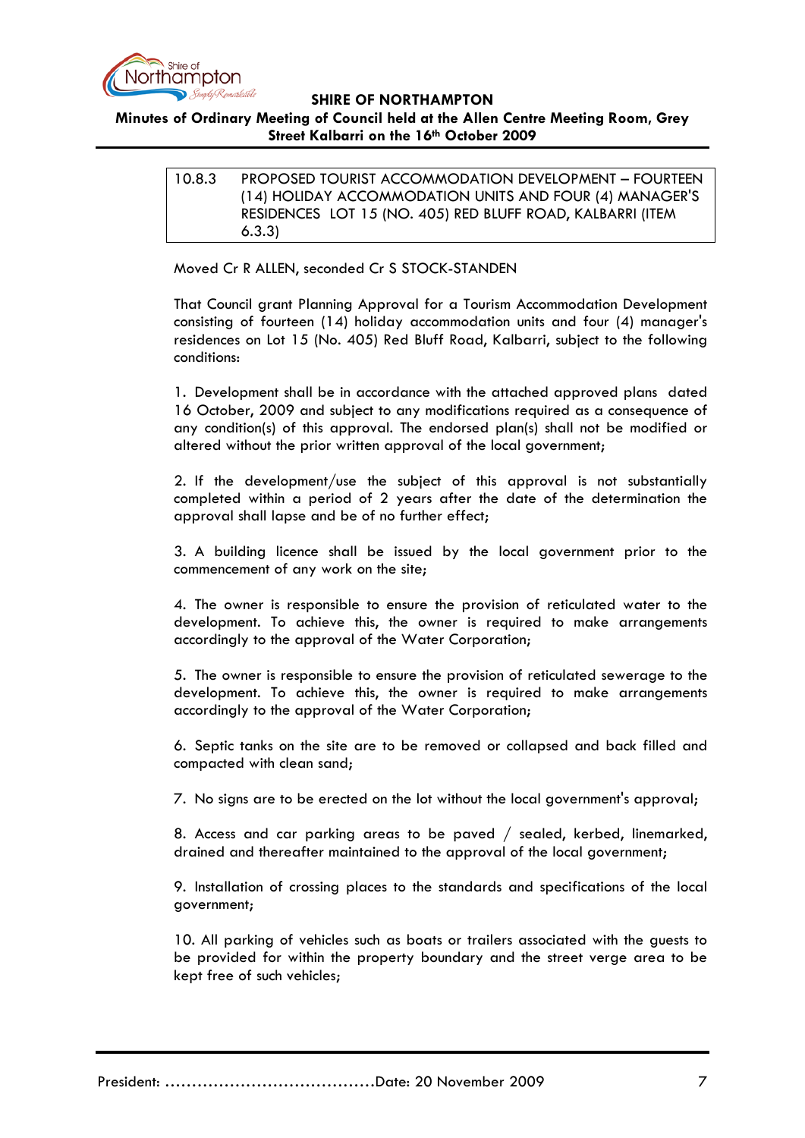

# **Minutes of Ordinary Meeting of Council held at the Allen Centre Meeting Room, Grey Street Kalbarri on the 16th October 2009**

# 10.8.3 PROPOSED TOURIST ACCOMMODATION DEVELOPMENT – FOURTEEN (14) HOLIDAY ACCOMMODATION UNITS AND FOUR (4) MANAGER'S RESIDENCES LOT 15 (NO. 405) RED BLUFF ROAD, KALBARRI (ITEM 6.3.3)

Moved Cr R ALLEN, seconded Cr S STOCK-STANDEN

That Council grant Planning Approval for a Tourism Accommodation Development consisting of fourteen (14) holiday accommodation units and four (4) manager's residences on Lot 15 (No. 405) Red Bluff Road, Kalbarri, subject to the following conditions:

1. Development shall be in accordance with the attached approved plans dated 16 October, 2009 and subject to any modifications required as a consequence of any condition(s) of this approval. The endorsed plan(s) shall not be modified or altered without the prior written approval of the local government;

2. If the development/use the subject of this approval is not substantially completed within a period of 2 years after the date of the determination the approval shall lapse and be of no further effect;

3. A building licence shall be issued by the local government prior to the commencement of any work on the site;

4. The owner is responsible to ensure the provision of reticulated water to the development. To achieve this, the owner is required to make arrangements accordingly to the approval of the Water Corporation;

5. The owner is responsible to ensure the provision of reticulated sewerage to the development. To achieve this, the owner is required to make arrangements accordingly to the approval of the Water Corporation;

6. Septic tanks on the site are to be removed or collapsed and back filled and compacted with clean sand;

7. No signs are to be erected on the lot without the local government's approval;

8. Access and car parking areas to be paved / sealed, kerbed, linemarked, drained and thereafter maintained to the approval of the local government;

9. Installation of crossing places to the standards and specifications of the local government;

10. All parking of vehicles such as boats or trailers associated with the guests to be provided for within the property boundary and the street verge area to be kept free of such vehicles;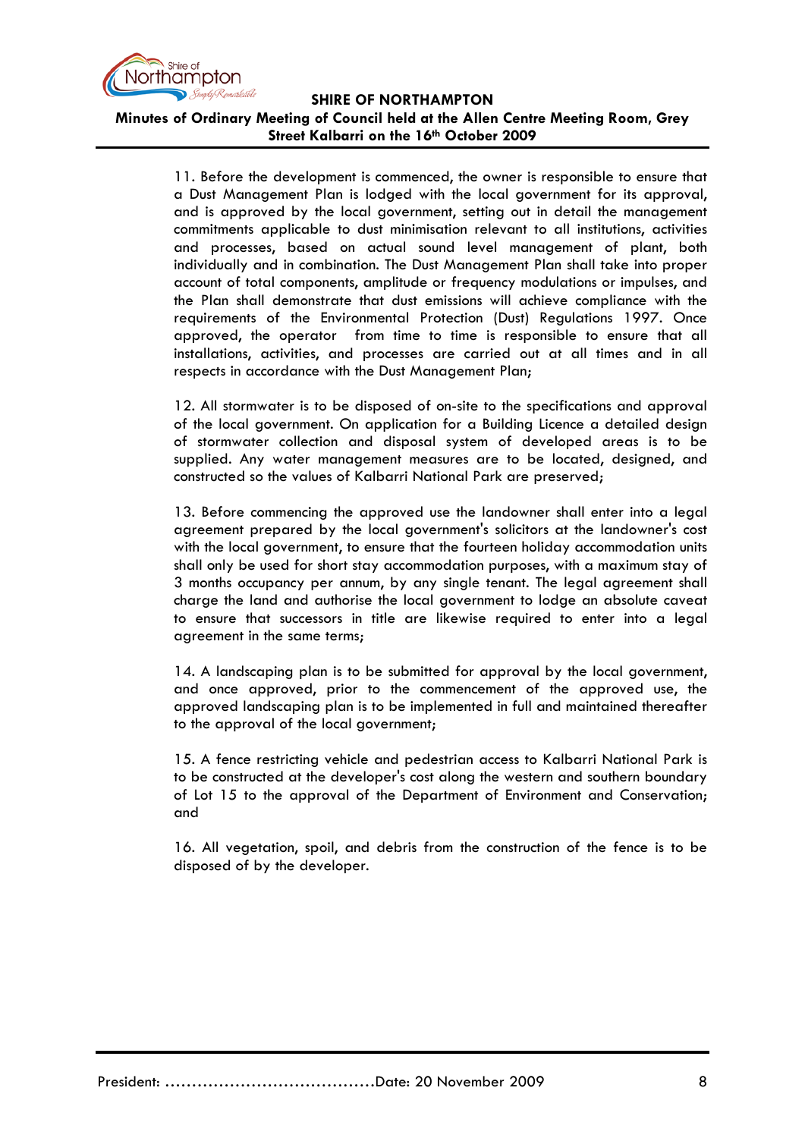

**Minutes of Ordinary Meeting of Council held at the Allen Centre Meeting Room, Grey Street Kalbarri on the 16th October 2009**

11. Before the development is commenced, the owner is responsible to ensure that a Dust Management Plan is lodged with the local government for its approval, and is approved by the local government, setting out in detail the management commitments applicable to dust minimisation relevant to all institutions, activities and processes, based on actual sound level management of plant, both individually and in combination. The Dust Management Plan shall take into proper account of total components, amplitude or frequency modulations or impulses, and the Plan shall demonstrate that dust emissions will achieve compliance with the requirements of the Environmental Protection (Dust) Regulations 1997. Once approved, the operator from time to time is responsible to ensure that all installations, activities, and processes are carried out at all times and in all respects in accordance with the Dust Management Plan;

12. All stormwater is to be disposed of on-site to the specifications and approval of the local government. On application for a Building Licence a detailed design of stormwater collection and disposal system of developed areas is to be supplied. Any water management measures are to be located, designed, and constructed so the values of Kalbarri National Park are preserved;

13. Before commencing the approved use the landowner shall enter into a legal agreement prepared by the local government's solicitors at the landowner's cost with the local government, to ensure that the fourteen holiday accommodation units shall only be used for short stay accommodation purposes, with a maximum stay of 3 months occupancy per annum, by any single tenant. The legal agreement shall charge the land and authorise the local government to lodge an absolute caveat to ensure that successors in title are likewise required to enter into a legal agreement in the same terms;

14. A landscaping plan is to be submitted for approval by the local government, and once approved, prior to the commencement of the approved use, the approved landscaping plan is to be implemented in full and maintained thereafter to the approval of the local government;

15. A fence restricting vehicle and pedestrian access to Kalbarri National Park is to be constructed at the developer's cost along the western and southern boundary of Lot 15 to the approval of the Department of Environment and Conservation; and

16. All vegetation, spoil, and debris from the construction of the fence is to be disposed of by the developer.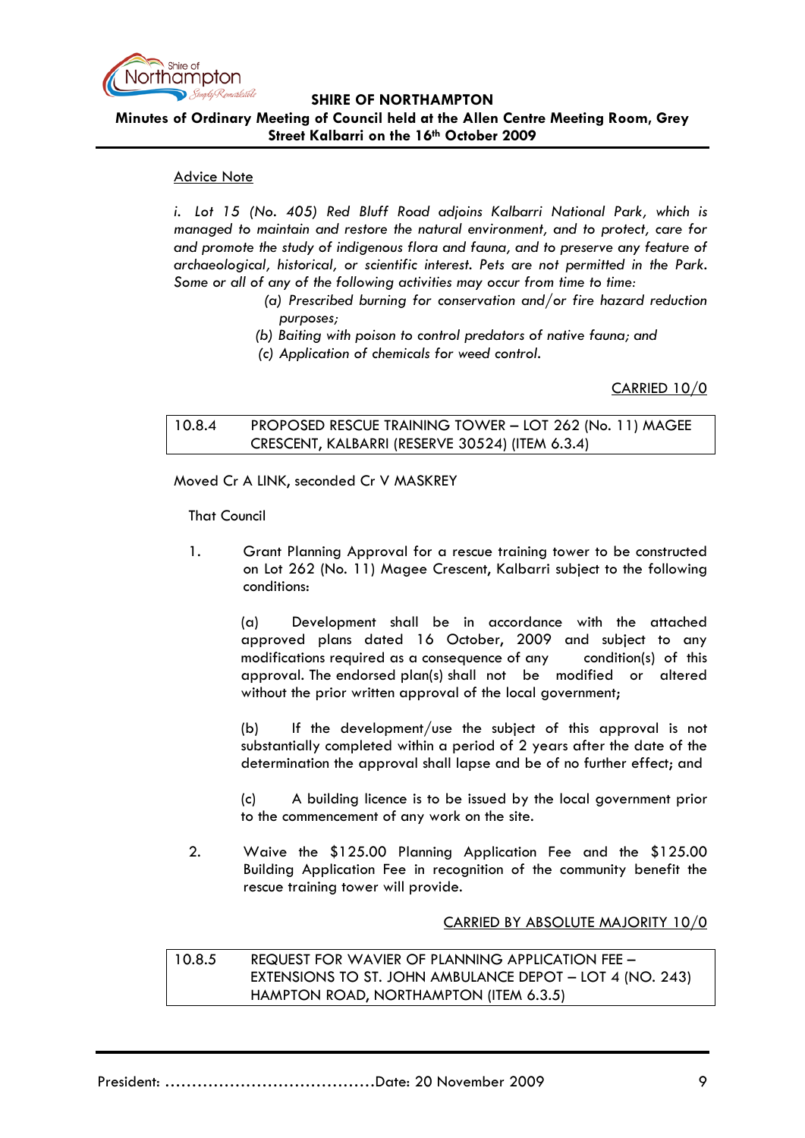

**Minutes of Ordinary Meeting of Council held at the Allen Centre Meeting Room, Grey Street Kalbarri on the 16th October 2009**

# Advice Note

*i. Lot 15 (No. 405) Red Bluff Road adjoins Kalbarri National Park, which is managed to maintain and restore the natural environment, and to protect, care for and promote the study of indigenous flora and fauna, and to preserve any feature of archaeological, historical, or scientific interest. Pets are not permitted in the Park. Some or all of any of the following activities may occur from time to time:*

- *(a) Prescribed burning for conservation and/or fire hazard reduction purposes;*
- *(b) Baiting with poison to control predators of native fauna; and*
- *(c) Application of chemicals for weed control.*

CARRIED 10/0

10.8.4 PROPOSED RESCUE TRAINING TOWER – LOT 262 (No. 11) MAGEE CRESCENT, KALBARRI (RESERVE 30524) (ITEM 6.3.4)

Moved Cr A LINK, seconded Cr V MASKREY

That Council

1. Grant Planning Approval for a rescue training tower to be constructed on Lot 262 (No. 11) Magee Crescent, Kalbarri subject to the following conditions:

(a) Development shall be in accordance with the attached approved plans dated 16 October, 2009 and subject to any modifications required as a consequence of any condition(s) of this approval. The endorsed plan(s) shall not be modified or altered without the prior written approval of the local government;

(b) If the development/use the subject of this approval is not substantially completed within a period of 2 years after the date of the determination the approval shall lapse and be of no further effect; and

(c) A building licence is to be issued by the local government prior to the commencement of any work on the site.

2. Waive the \$125.00 Planning Application Fee and the \$125.00 Building Application Fee in recognition of the community benefit the rescue training tower will provide.

CARRIED BY ABSOLUTE MAJORITY 10/0

10.8.5 REQUEST FOR WAVIER OF PLANNING APPLICATION FEE – EXTENSIONS TO ST. JOHN AMBULANCE DEPOT – LOT 4 (NO. 243) HAMPTON ROAD, NORTHAMPTON (ITEM 6.3.5)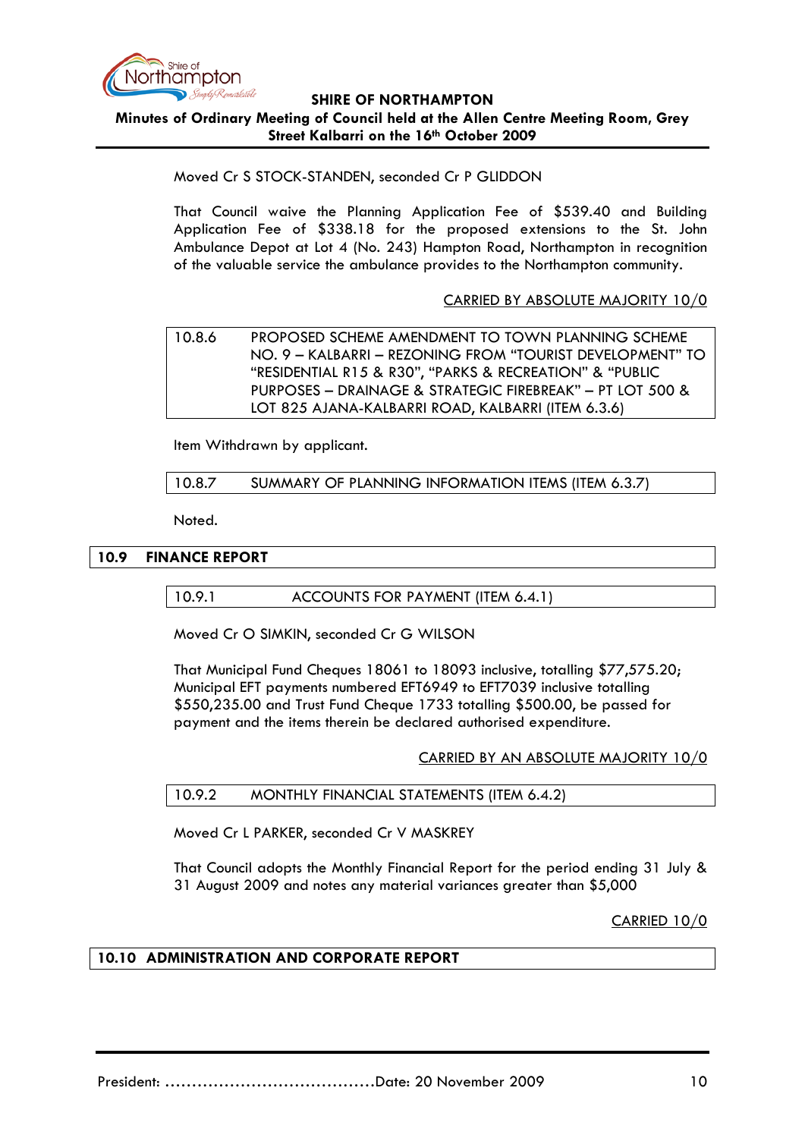

## **SHIRE OF NORTHAMPTON Minutes of Ordinary Meeting of Council held at the Allen Centre Meeting Room, Grey Street Kalbarri on the 16th October 2009**

## Moved Cr S STOCK-STANDEN, seconded Cr P GLIDDON

That Council waive the Planning Application Fee of \$539.40 and Building Application Fee of \$338.18 for the proposed extensions to the St. John Ambulance Depot at Lot 4 (No. 243) Hampton Road, Northampton in recognition of the valuable service the ambulance provides to the Northampton community.

## CARRIED BY ABSOLUTE MAJORITY 10/0

10.8.6 PROPOSED SCHEME AMENDMENT TO TOWN PLANNING SCHEME NO. 9 – KALBARRI – REZONING FROM "TOURIST DEVELOPMENT" TO "RESIDENTIAL R15 & R30", "PARKS & RECREATION" & "PUBLIC PURPOSES – DRAINAGE & STRATEGIC FIREBREAK" – PT LOT 500 & LOT 825 AJANA-KALBARRI ROAD, KALBARRI (ITEM 6.3.6)

Item Withdrawn by applicant.

#### 10.8.7 SUMMARY OF PLANNING INFORMATION ITEMS (ITEM 6.3.7)

Noted.

### **10.9 FINANCE REPORT**

10.9.1 ACCOUNTS FOR PAYMENT (ITEM 6.4.1)

Moved Cr O SIMKIN, seconded Cr G WILSON

That Municipal Fund Cheques 18061 to 18093 inclusive, totalling \$77,575.20; Municipal EFT payments numbered EFT6949 to EFT7039 inclusive totalling \$550,235.00 and Trust Fund Cheque 1733 totalling \$500.00, be passed for payment and the items therein be declared authorised expenditure.

CARRIED BY AN ABSOLUTE MAJORITY 10/0

### 10.9.2 MONTHLY FINANCIAL STATEMENTS (ITEM 6.4.2)

Moved Cr L PARKER, seconded Cr V MASKREY

That Council adopts the Monthly Financial Report for the period ending 31 July & 31 August 2009 and notes any material variances greater than \$5,000

CARRIED 10/0

### **10.10 ADMINISTRATION AND CORPORATE REPORT**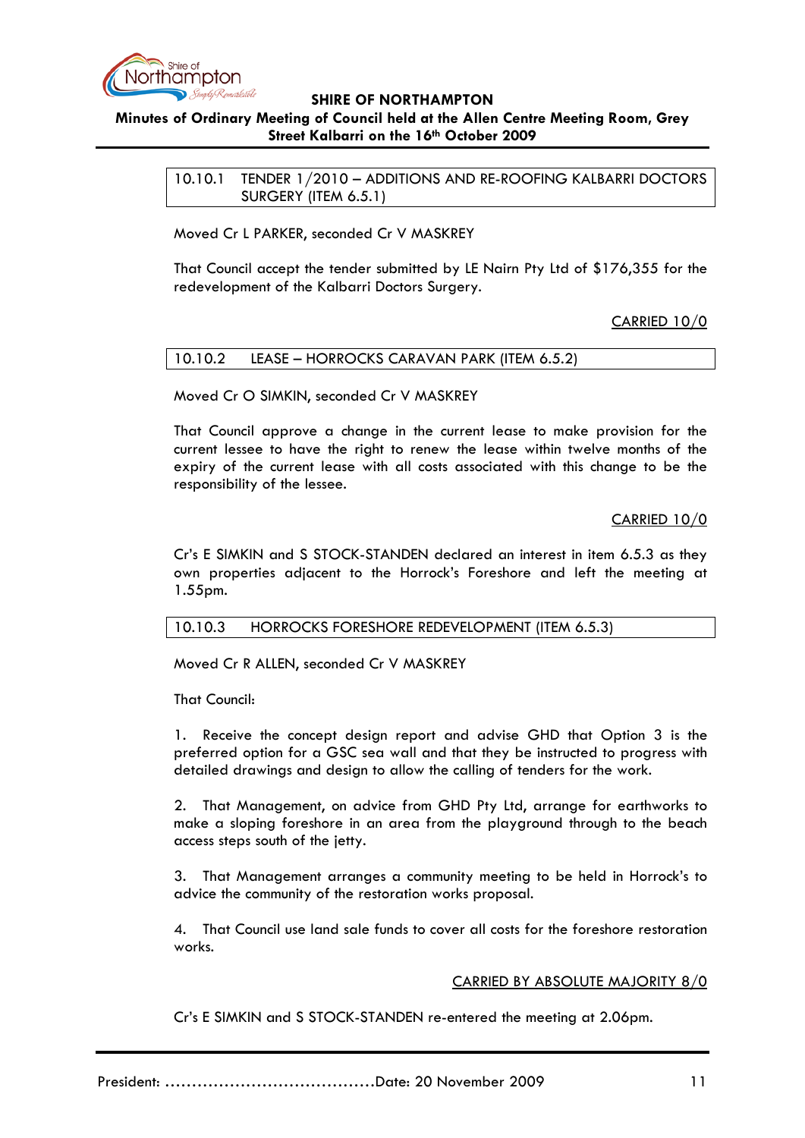

# **Minutes of Ordinary Meeting of Council held at the Allen Centre Meeting Room, Grey Street Kalbarri on the 16th October 2009**

10.10.1 TENDER 1/2010 – ADDITIONS AND RE-ROOFING KALBARRI DOCTORS SURGERY (ITEM 6.5.1)

Moved Cr L PARKER, seconded Cr V MASKREY

That Council accept the tender submitted by LE Nairn Pty Ltd of \$176,355 for the redevelopment of the Kalbarri Doctors Surgery.

CARRIED 10/0

## 10.10.2 LEASE – HORROCKS CARAVAN PARK (ITEM 6.5.2)

Moved Cr O SIMKIN, seconded Cr V MASKREY

That Council approve a change in the current lease to make provision for the current lessee to have the right to renew the lease within twelve months of the expiry of the current lease with all costs associated with this change to be the responsibility of the lessee.

CARRIED 10/0

Cr's E SIMKIN and S STOCK-STANDEN declared an interest in item 6.5.3 as they own properties adjacent to the Horrock's Foreshore and left the meeting at 1.55pm.

### 10.10.3 HORROCKS FORESHORE REDEVELOPMENT (ITEM 6.5.3)

Moved Cr R ALLEN, seconded Cr V MASKREY

That Council:

1. Receive the concept design report and advise GHD that Option 3 is the preferred option for a GSC sea wall and that they be instructed to progress with detailed drawings and design to allow the calling of tenders for the work.

2. That Management, on advice from GHD Pty Ltd, arrange for earthworks to make a sloping foreshore in an area from the playground through to the beach access steps south of the jetty.

3. That Management arranges a community meeting to be held in Horrock's to advice the community of the restoration works proposal.

4. That Council use land sale funds to cover all costs for the foreshore restoration works.

### CARRIED BY ABSOLUTE MAJORITY 8/0

Cr's E SIMKIN and S STOCK-STANDEN re-entered the meeting at 2.06pm.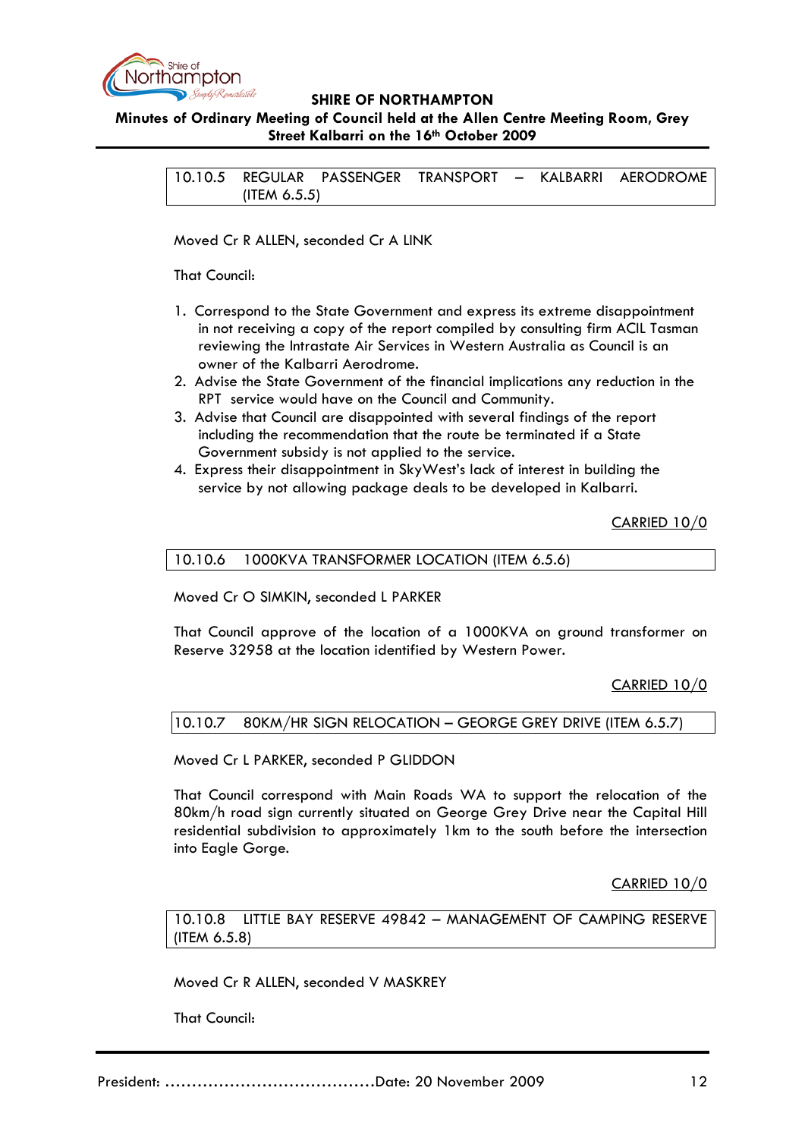

**Minutes of Ordinary Meeting of Council held at the Allen Centre Meeting Room, Grey Street Kalbarri on the 16th October 2009**

10.10.5 REGULAR PASSENGER TRANSPORT – KALBARRI AERODROME (ITEM 6.5.5)

Moved Cr R ALLEN, seconded Cr A LINK

That Council:

- 1. Correspond to the State Government and express its extreme disappointment in not receiving a copy of the report compiled by consulting firm ACIL Tasman reviewing the Intrastate Air Services in Western Australia as Council is an owner of the Kalbarri Aerodrome.
- 2. Advise the State Government of the financial implications any reduction in the RPT service would have on the Council and Community.
- 3. Advise that Council are disappointed with several findings of the report including the recommendation that the route be terminated if a State Government subsidy is not applied to the service.
- 4. Express their disappointment in SkyWest's lack of interest in building the service by not allowing package deals to be developed in Kalbarri.

CARRIED 10/0

## 10.10.6 1000KVA TRANSFORMER LOCATION (ITEM 6.5.6)

Moved Cr O SIMKIN, seconded L PARKER

That Council approve of the location of a 1000KVA on ground transformer on Reserve 32958 at the location identified by Western Power.

CARRIED 10/0

10.10.7 80KM/HR SIGN RELOCATION – GEORGE GREY DRIVE (ITEM 6.5.7)

Moved Cr L PARKER, seconded P GLIDDON

That Council correspond with Main Roads WA to support the relocation of the 80km/h road sign currently situated on George Grey Drive near the Capital Hill residential subdivision to approximately 1km to the south before the intersection into Eagle Gorge.

CARRIED 10/0

10.10.8 LITTLE BAY RESERVE 49842 – MANAGEMENT OF CAMPING RESERVE (ITEM 6.5.8)

Moved Cr R ALLEN, seconded V MASKREY

That Council: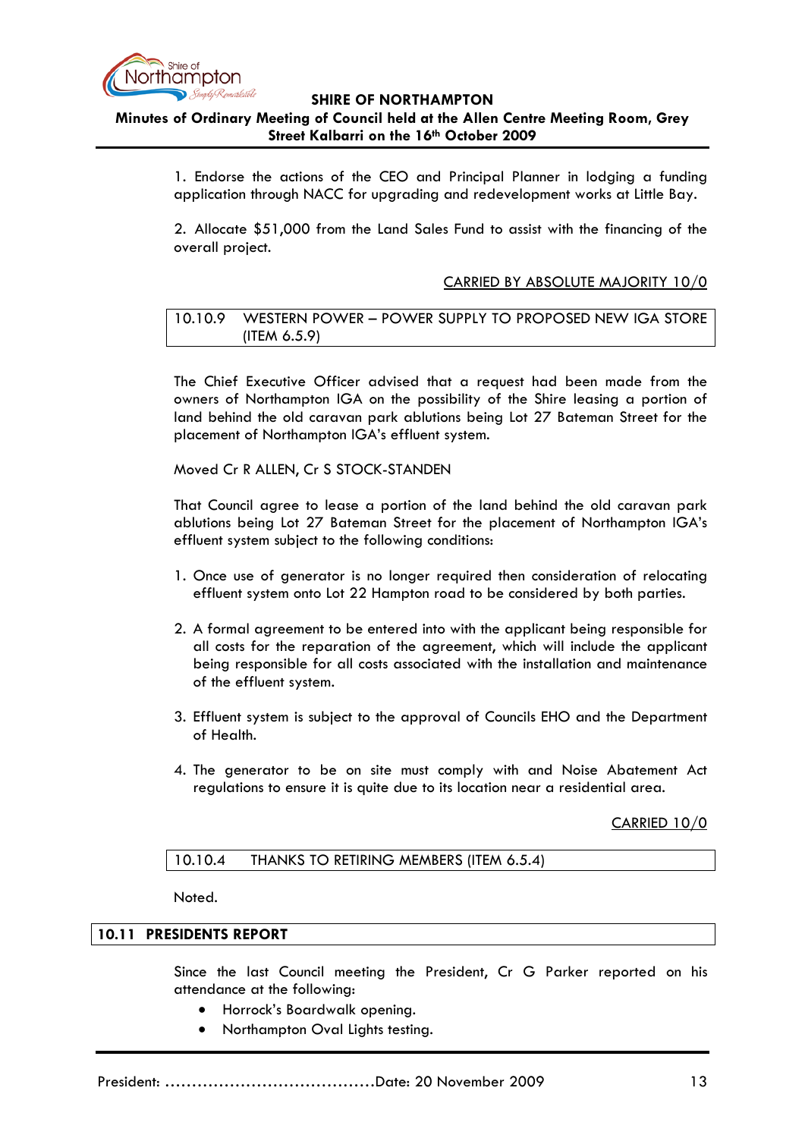

# **Minutes of Ordinary Meeting of Council held at the Allen Centre Meeting Room, Grey Street Kalbarri on the 16th October 2009**

1. Endorse the actions of the CEO and Principal Planner in lodging a funding application through NACC for upgrading and redevelopment works at Little Bay.

2. Allocate \$51,000 from the Land Sales Fund to assist with the financing of the overall project.

### CARRIED BY ABSOLUTE MAJORITY 10/0

10.10.9 WESTERN POWER – POWER SUPPLY TO PROPOSED NEW IGA STORE (ITEM 6.5.9)

The Chief Executive Officer advised that a request had been made from the owners of Northampton IGA on the possibility of the Shire leasing a portion of land behind the old caravan park ablutions being Lot 27 Bateman Street for the placement of Northampton IGA's effluent system.

Moved Cr R ALLEN, Cr S STOCK-STANDEN

That Council agree to lease a portion of the land behind the old caravan park ablutions being Lot 27 Bateman Street for the placement of Northampton IGA's effluent system subject to the following conditions:

- 1. Once use of generator is no longer required then consideration of relocating effluent system onto Lot 22 Hampton road to be considered by both parties.
- 2. A formal agreement to be entered into with the applicant being responsible for all costs for the reparation of the agreement, which will include the applicant being responsible for all costs associated with the installation and maintenance of the effluent system.
- 3. Effluent system is subject to the approval of Councils EHO and the Department of Health.
- 4. The generator to be on site must comply with and Noise Abatement Act regulations to ensure it is quite due to its location near a residential area.

CARRIED 10/0

10.10.4 THANKS TO RETIRING MEMBERS (ITEM 6.5.4)

Noted.

### **10.11 PRESIDENTS REPORT**

Since the last Council meeting the President, Cr G Parker reported on his attendance at the following:

- Horrock's Boardwalk opening.
- Northampton Oval Lights testing.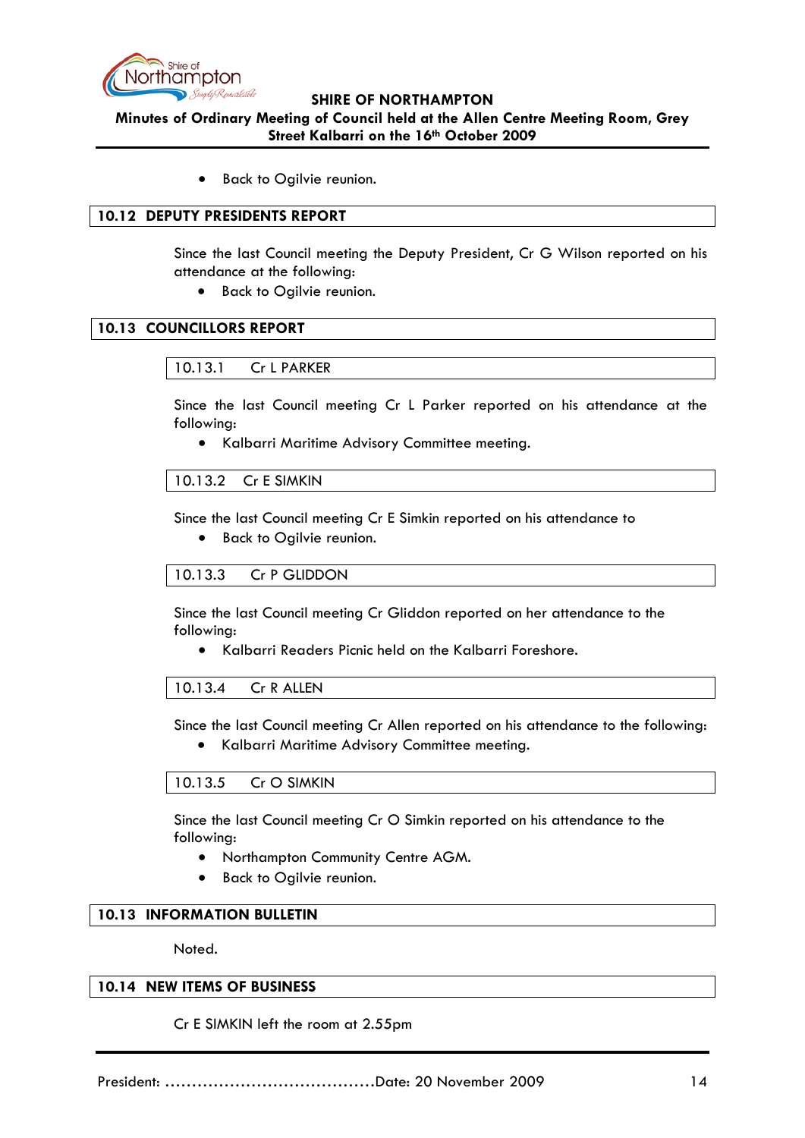

**Minutes of Ordinary Meeting of Council held at the Allen Centre Meeting Room, Grey Street Kalbarri on the 16th October 2009**

Back to Ogilvie reunion.

### **10.12 DEPUTY PRESIDENTS REPORT**

Since the last Council meeting the Deputy President, Cr G Wilson reported on his attendance at the following:

• Back to Ogilvie reunion.

## **10.13 COUNCILLORS REPORT**

### 10.13.1 Cr L PARKER

Since the last Council meeting Cr L Parker reported on his attendance at the following:

• Kalbarri Maritime Advisory Committee meeting.

#### 10.13.2 Cr E SIMKIN

Since the last Council meeting Cr E Simkin reported on his attendance to

• Back to Ogilvie reunion.

### 10.13.3 Cr P GLIDDON

Since the last Council meeting Cr Gliddon reported on her attendance to the following:

• Kalbarri Readers Picnic held on the Kalbarri Foreshore.

### 10.13.4 Cr R ALLEN

Since the last Council meeting Cr Allen reported on his attendance to the following:

• Kalbarri Maritime Advisory Committee meeting.

### 10.13.5 Cr O SIMKIN

Since the last Council meeting Cr O Simkin reported on his attendance to the following:

- Northampton Community Centre AGM.
- Back to Ogilvie reunion.

### **10.13 INFORMATION BULLETIN**

Noted.

### **10.14 NEW ITEMS OF BUSINESS**

Cr E SIMKIN left the room at 2.55pm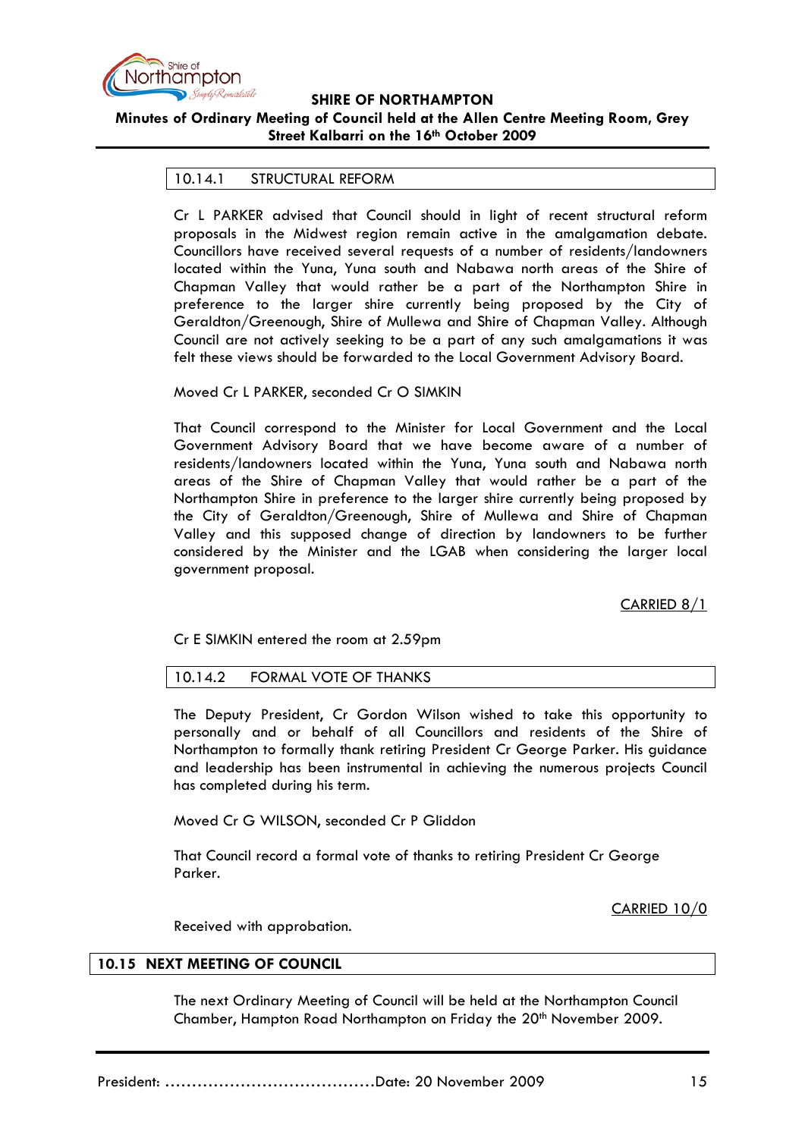

# **Minutes of Ordinary Meeting of Council held at the Allen Centre Meeting Room, Grey Street Kalbarri on the 16th October 2009**

### 10.14.1 STRUCTURAL REFORM

Cr L PARKER advised that Council should in light of recent structural reform proposals in the Midwest region remain active in the amalgamation debate. Councillors have received several requests of a number of residents/landowners located within the Yuna, Yuna south and Nabawa north areas of the Shire of Chapman Valley that would rather be a part of the Northampton Shire in preference to the larger shire currently being proposed by the City of Geraldton/Greenough, Shire of Mullewa and Shire of Chapman Valley. Although Council are not actively seeking to be a part of any such amalgamations it was felt these views should be forwarded to the Local Government Advisory Board.

#### Moved Cr L PARKER, seconded Cr O SIMKIN

That Council correspond to the Minister for Local Government and the Local Government Advisory Board that we have become aware of a number of residents/landowners located within the Yuna, Yuna south and Nabawa north areas of the Shire of Chapman Valley that would rather be a part of the Northampton Shire in preference to the larger shire currently being proposed by the City of Geraldton/Greenough, Shire of Mullewa and Shire of Chapman Valley and this supposed change of direction by landowners to be further considered by the Minister and the LGAB when considering the larger local government proposal.

CARRIED 8/1

Cr E SIMKIN entered the room at 2.59pm

### 10.14.2 FORMAL VOTE OF THANKS

The Deputy President, Cr Gordon Wilson wished to take this opportunity to personally and or behalf of all Councillors and residents of the Shire of Northampton to formally thank retiring President Cr George Parker. His guidance and leadership has been instrumental in achieving the numerous projects Council has completed during his term.

Moved Cr G WILSON, seconded Cr P Gliddon

That Council record a formal vote of thanks to retiring President Cr George Parker.

CARRIED 10/0

Received with approbation.

#### **10.15 NEXT MEETING OF COUNCIL**

The next Ordinary Meeting of Council will be held at the Northampton Council Chamber, Hampton Road Northampton on Friday the 20<sup>th</sup> November 2009.